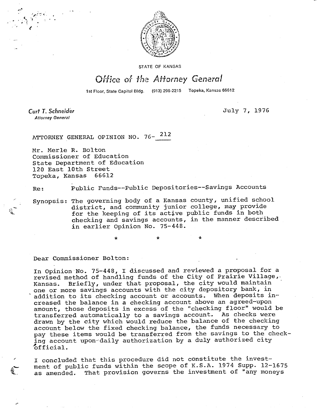

STATE OF KANSAS

## Office of the Attorney General

1st Floor, State Capitol Bldg. (913) 296-2215 Topeka, Kansas 66612

Curt T. Schneider **Attorney General** 

July 7, 1976

ATTORNEY GENERAL OPINION NO. 76- 212

Mr. Merle R. Bolton Commissioner of Education State Department of Education 120 East 10th Street<br>Topeka. Kansas 66612 Topeka, Kansas

Re: Public Funds--Public Depositories--Savings Accounts

Synopsis: The governing body of a Kansas county, unified school district, and community junior college, may provide for the keeping of its active public funds in both checking and savings accounts, in the manner described in earlier Opinion No. 75-448.

Dear Commissioner Bolton:

In Opinion No. 75-448, I discussed and reviewed a proposal for a revised method of handling funds of the City of Prairie Village,. Kansas. Briefly, under that proposal, the city would maintain one or more savings accounts with the city depository bank, in addition to its checking account or accounts. When deposits increased the balance in a checking account above an agreed-upon amount, those deposits in excess of the "checking floor" would be transferred automatically to a savings account. As checks were drawn by the city which would reduce the balance of the checking account below the fixed checking balance, the funds necessary to pay these items would be transferred from the savings to the checking account upon daily authorization by a duly authorized city official. official.

I concluded that this procedure did not constitute the investment of public funds within the scope of K.S.A. 1974 Supp. 12-1675 as amended. That provision governs the investment of "any moneys